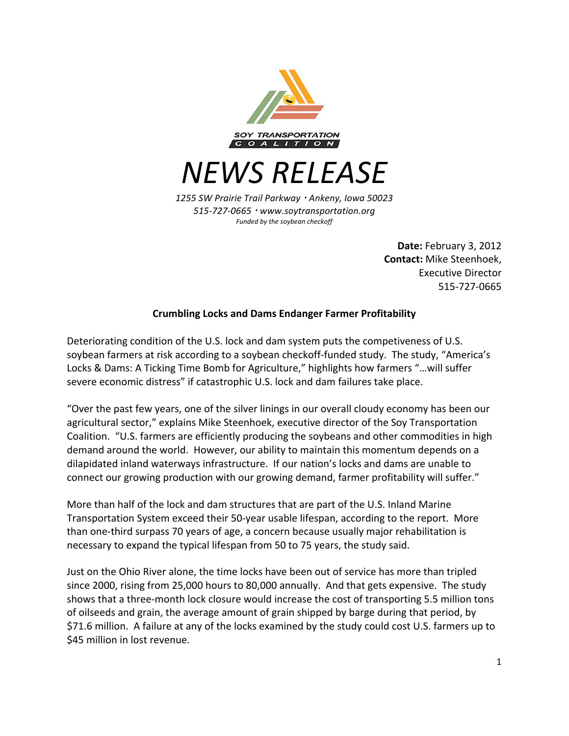

*NEWS RELEASE*

*1255 SW Prairie Trail Parkway Ankeny, Iowa 50023 515-727-0665 www.soytransportation.org* Funded by the soybean checkoff

> **Date:** February 3, 2012 **Contact:** Mike Steenhoek, Executive Director 515-727-0665

## **Crumbling Locks and Dams Endanger Farmer Profitability**

Deteriorating condition of the U.S. lock and dam system puts the competiveness of U.S. soybean farmers at risk according to a soybean checkoff-funded study. The study, "America's Locks & Dams: A Ticking Time Bomb for Agriculture," highlights how farmers "... will suffer severe economic distress" if catastrophic U.S. lock and dam failures take place.

"Over the past few years, one of the silver linings in our overall cloudy economy has been our agricultural sector," explains Mike Steenhoek, executive director of the Soy Transportation Coalition. "U.S. farmers are efficiently producing the soybeans and other commodities in high demand around the world. However, our ability to maintain this momentum depends on a dilapidated inland waterways infrastructure. If our nation's locks and dams are unable to connect our growing production with our growing demand, farmer profitability will suffer."

More than half of the lock and dam structures that are part of the U.S. Inland Marine Transportation System exceed their 50-year usable lifespan, according to the report. More than one-third surpass 70 years of age, a concern because usually major rehabilitation is necessary to expand the typical lifespan from 50 to 75 years, the study said.

Just on the Ohio River alone, the time locks have been out of service has more than tripled since 2000, rising from 25,000 hours to 80,000 annually. And that gets expensive. The study shows that a three-month lock closure would increase the cost of transporting 5.5 million tons of oilseeds and grain, the average amount of grain shipped by barge during that period, by \$71.6 million. A failure at any of the locks examined by the study could cost U.S. farmers up to \$45 million in lost revenue.